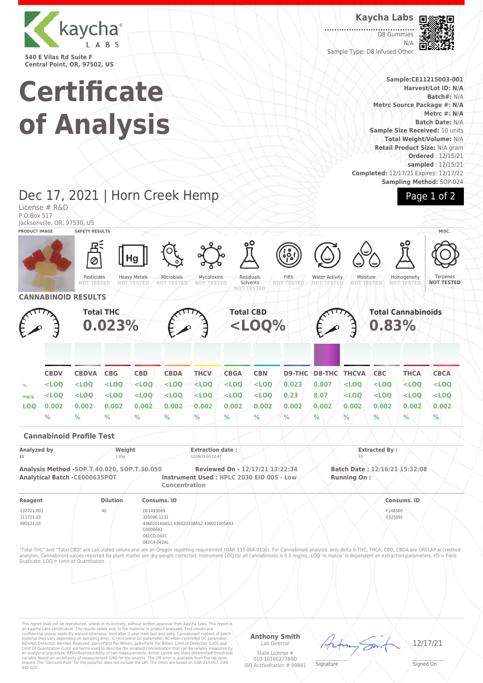

**Certificate of Analysis** **Kaycha Labs**

D8 Gummies N/A Sample Type: D8 Infused Other



**Sample:CE11215003-001 Harvest/Lot ID: N/A Batch#:** N/A **Metrc Source Package #: N/A Metrc #: N/A Batch Date:** N/A **Sample Size Received:** 10 units **Total Weight/Volume:** N/A **Retail Product Size:** N/A gram **Ordered** : 12/15/21 **sampled** : 12/15/21 **Completed:** 12/17/21 Expires: 12/17/22 **Sampling Method:** SOP-024

Page 1 of 2

#### Dec 17, 2021 | Horn Creek Hemp License # R&D P.O.Box 517 Jacksonville, OR, 97530, US **PRODUCT IMAGE SAFETY RESULTS MISC.** Ha Mycotoxins Water Activity Pesticides<br>NOT TESTI Heavy Metals Microbials Residuals Filth Moisture<br>NOT TEST **Homogeneity** Ternenes **NOT TESTED NOT TESTED NOT TESTED NOT TESTED NOT TESTED NOT TESTED** Solvents **NOT TESTED NOT TESTED NOT TESTED NOT TESTED CANNABINOID RESULTS Total THC Total CBD Total Cannabinoids 0.023% <LOQ% 0.83% CBDV CBDVA CBG CBD CBDA THCV CBGA CBN D9-THC D8-THC THCVA CBC THCA CBCA % <LOQ <LOQ <LOQ <LOQ <LOQ <LOQ <LOQ <LOQ 0.023 0.807 <LOQ <LOQ <LOQ <LOQ mg/g <LOQ <LOQ <LOQ <LOQ <LOQ <LOQ <LOQ <LOQ 0.23 8.07 <LOQ <LOQ <LOQ <LOQ LOQ 0.002 0.002 0.002 0.002 0.002 0.002 0.002 0.002 0.002 0.002 0.002 0.002 0.002 0.002 % % % % % % % % % % % % % % Cannabinoid Profile Test Analyzed by Weight Extraction date : Extracted By : 11** 1.03g 12/16/21 03:12:47 13 **Analysis Method -SOP.T.40.020, SOP.T.30.050 Reviewed On - 12/17/21 13:22:34 Batch Date : 12/16/21 15:32:08 Analytical Batch -CE000635POT Instrument Used : HPLC 2030 EID 005 - Low Running On : Concentration Reagent Dilution Consums. ID Consums. ID** 102721.R03 40 D01493069 F148560 111721.03 32009E-1232 0325891 090121.03 436020160AS3 436020338AS2 436021005AS3 C0000642 041CD-041C 042C4-042AL "Total THC" and "Total CBD" are calculated values and are an Oregon reporting requirement (OAR 333-064-0100). For Cannabinoid analysis, only delta 9-THC, THCA, CBD, CBDA are ORELAP accredited<br>analytes. Cannabinoid values r Duplicate; LOQ = Limit of Quantitation.

This report shall not be reproduced, unless in its entirety, without written approval from Kaycha Labs. This report is<br>an Kaycha Labs certification. The results relate only to the material or product analyzed. Test result

#### **Anthony Smith** Lab Director

State License # 010-10166277B9D ISO Accreditation # 99861

 $\mathscr{L}\setminus\mathscr{L}$ **Signature** 

12/17/21

Signed On